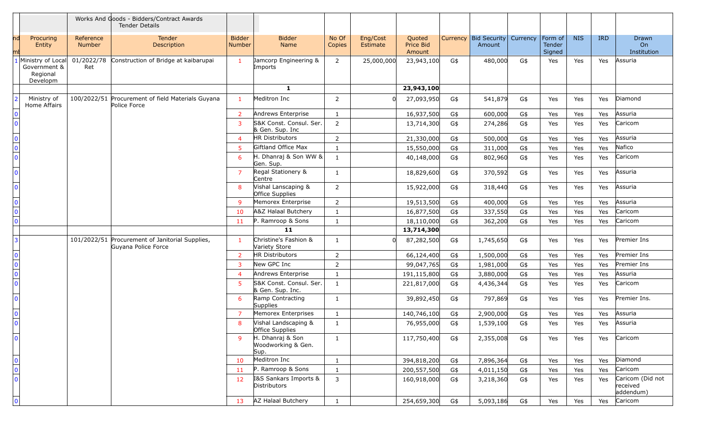|                                                 |                                                           |                     | Works And Goods - Bidders/Contract Awards<br><b>Tender Details</b>     |                         |                                                |                 |                      |                               |     |                                              |     |                             |            |            |                                           |
|-------------------------------------------------|-----------------------------------------------------------|---------------------|------------------------------------------------------------------------|-------------------------|------------------------------------------------|-----------------|----------------------|-------------------------------|-----|----------------------------------------------|-----|-----------------------------|------------|------------|-------------------------------------------|
|                                                 | Procuring<br>Entity                                       | Reference<br>Number | Tender<br>Description                                                  | <b>Bidder</b><br>Number | <b>Bidder</b><br>Name                          | No Of<br>Copies | Eng/Cost<br>Estimate | Quoted<br>Price Bid<br>Amount |     | Currency   Bid Security   Currency<br>Amount |     | Form of<br>Tender<br>Signed | <b>NIS</b> | <b>IRD</b> | Drawn<br>On<br>Institution                |
|                                                 | Ministry of Local<br>Government &<br>Regional<br>Developm | 01/2022/78<br>Ret   | Construction of Bridge at kaibarupai                                   | $\mathbf{1}$            | Jamcorp Engineering &<br>Imports               | $\overline{2}$  | 25,000,000           | 23,943,100                    | G\$ | 480,000                                      | G\$ | Yes                         | Yes        | Yes        | Assuria                                   |
|                                                 |                                                           |                     |                                                                        |                         | $\mathbf{1}$                                   |                 |                      | 23,943,100                    |     |                                              |     |                             |            |            |                                           |
|                                                 | Ministry of<br>Home Affairs                               |                     | 100/2022/51 Procurement of field Materials Guyana<br>Police Force      | $\mathbf{1}$            | Meditron Inc                                   | $\overline{2}$  |                      | 27,093,950                    | G\$ | 541,879                                      | G\$ | Yes                         | Yes        | Yes        | Diamond                                   |
| $\mathbf{0}$                                    |                                                           |                     |                                                                        | 2                       | Andrews Enterprise                             | $\mathbf{1}$    |                      | 16,937,500                    | G\$ | 600,000                                      | G\$ | Yes                         | Yes        | Yes        | Assuria                                   |
| $\overline{0}$                                  |                                                           |                     |                                                                        | $\overline{3}$          | S&K Const. Consul. Ser.<br>& Gen. Sup. Inc     | $\overline{2}$  |                      | 13,714,300                    | G\$ | 274,286                                      | G\$ | Yes                         | Yes        | Yes        | Caricom                                   |
| $\pmb{0}$                                       |                                                           |                     |                                                                        | $\overline{4}$          | HR Distributors                                | $\overline{2}$  |                      | 21,330,000                    | G\$ | 500,000                                      | G\$ | Yes                         | Yes        | Yes        | Assuria                                   |
| $\overline{\mathbf{0}}$                         |                                                           |                     |                                                                        | 5                       | Giftland Office Max                            | $\mathbf{1}$    |                      | 15,550,000                    | G\$ | 311,000                                      | G\$ | Yes                         | Yes        | Yes        | Nafico                                    |
| $\overline{0}$                                  |                                                           |                     |                                                                        | 6                       | H. Dhanraj & Son WW &<br>Gen. Sup.             | $\mathbf{1}$    |                      | 40,148,000                    | G\$ | 802,960                                      | G\$ | Yes                         | Yes        | Yes        | Caricom                                   |
| $\Omega$                                        |                                                           |                     |                                                                        | $\overline{7}$          | Regal Stationery &<br>Centre                   | $\mathbf{1}$    |                      | 18,829,600                    | G\$ | 370,592                                      | G\$ | Yes                         | Yes        | Yes        | Assuria                                   |
| $\Omega$                                        |                                                           |                     |                                                                        | 8                       | Vishal Lanscaping &<br>Office Supplies         | $\overline{2}$  |                      | 15,922,000                    | G\$ | 318,440                                      | G\$ | Yes                         | Yes        | Yes        | Assuria                                   |
| $\mathbf 0$                                     |                                                           |                     |                                                                        | 9                       | Memorex Enterprise                             | $\overline{2}$  |                      | 19,513,500                    | G\$ | 400,000                                      | G\$ | Yes                         | Yes        | Yes        | Assuria                                   |
| $\overline{\mathbf{0}}$                         |                                                           |                     |                                                                        | 10                      | A&Z Halaal Butchery                            | 1               |                      | 16,877,500                    | G\$ | 337,550                                      | G\$ | Yes                         | Yes        | Yes        | Caricom                                   |
| $\overline{0}$                                  |                                                           |                     |                                                                        | 11                      | P. Ramroop & Sons                              | 1               |                      | 18,110,000                    | G\$ | 362,200                                      | G\$ | Yes                         | Yes        | Yes        | Caricom                                   |
|                                                 |                                                           |                     |                                                                        |                         | 11                                             |                 |                      | 13,714,300                    |     |                                              |     |                             |            |            |                                           |
| 3                                               |                                                           |                     | 101/2022/51 Procurement of Janitorial Supplies,<br>Guyana Police Force | $\blacksquare$          | Christine's Fashion &<br>Variety Store         | $\mathbf{1}$    |                      | 87,282,500                    | G\$ | 1,745,650                                    | G\$ | Yes                         | Yes        | Yes        | Premier Ins                               |
| $\mathbf 0$                                     |                                                           |                     |                                                                        | $\overline{2}$          | HR Distributors                                | $\overline{2}$  |                      | 66,124,400                    | G\$ | 1,500,000                                    | G\$ | Yes                         | Yes        | Yes        | Premier Ins                               |
| $\begin{array}{c}\n\hline\n0\\ 0\n\end{array}$  |                                                           |                     |                                                                        | 3                       | New GPC Inc                                    | $\overline{2}$  |                      | 99,047,765                    | G\$ | 1,981,000                                    | G\$ | Yes                         | Yes        | Yes        | Premier Ins                               |
|                                                 |                                                           |                     |                                                                        | 4                       | Andrews Enterprise                             | $\mathbf{1}$    |                      | 191,115,800                   | G\$ | 3,880,000                                    | G\$ | Yes                         | Yes        | Yes        | Assuria                                   |
| $\overline{\overline{\mathbf{0}}}$              |                                                           |                     |                                                                        | 5                       | S&K Const. Consul. Ser.<br>& Gen. Sup. Inc.    | $\mathbf{1}$    |                      | 221,817,000                   | G\$ | 4,436,344                                    | G\$ | Yes                         | Yes        | Yes        | Caricom                                   |
| $\overline{0}$                                  |                                                           |                     |                                                                        | 6                       | Ramp Contracting<br>Supplies                   | $\mathbf{1}$    |                      | 39,892,450                    | G\$ | 797,869                                      | G\$ | Yes                         | Yes        | Yes        | Premier Ins.                              |
| $\begin{array}{c}\n0 \\ \hline\n0\n\end{array}$ |                                                           |                     |                                                                        | $\overline{7}$          | Memorex Enterprises                            | $\mathbf{1}$    |                      | 140,746,100                   | G\$ | 2,900,000                                    | G\$ | Yes                         | Yes        | Yes        | Assuria                                   |
|                                                 |                                                           |                     |                                                                        | 8                       | Vishal Landscaping &<br>Office Supplies        | 1               |                      | 76,955,000                    | G\$ | 1,539,100                                    | G\$ | Yes                         | Yes        | Yes        | Assuria                                   |
| $\mathbf{0}$                                    |                                                           |                     |                                                                        | 9                       | H. Dhanraj & Son<br>Woodworking & Gen.<br>Sup. | $\mathbf{1}$    |                      | 117,750,400                   | G\$ | 2,355,008                                    | G\$ | Yes                         | Yes        | Yes        | Caricom                                   |
|                                                 |                                                           |                     |                                                                        | 10 <sup>°</sup>         | Meditron Inc                                   | $\mathbf{1}$    |                      | 394,818,200                   | G\$ | 7,896,364                                    | G\$ | Yes                         | Yes        | Yes        | Diamond                                   |
| $\begin{array}{c}\n0 \\ 0 \\ 0\n\end{array}$    |                                                           |                     |                                                                        | 11                      | P. Ramroop & Sons                              | $\mathbf{1}$    |                      | 200,557,500                   | G\$ | 4,011,150                                    | G\$ | Yes                         | Yes        | Yes        | Caricom                                   |
|                                                 |                                                           |                     |                                                                        | 12                      | I&S Sankars Imports &<br>Distributors          | 3               |                      | 160,918,000                   | G\$ | 3,218,360                                    | G\$ | Yes                         | Yes        | Yes        | Caricom (Did not<br>received<br>addendum) |
| $\mathbf 0$                                     |                                                           |                     |                                                                        | 13                      | AZ Halaal Butchery                             | $\mathbf{1}$    |                      | 254,659,300                   | G\$ | 5,093,186                                    | G\$ | Yes                         | Yes        | Yes        | Caricom                                   |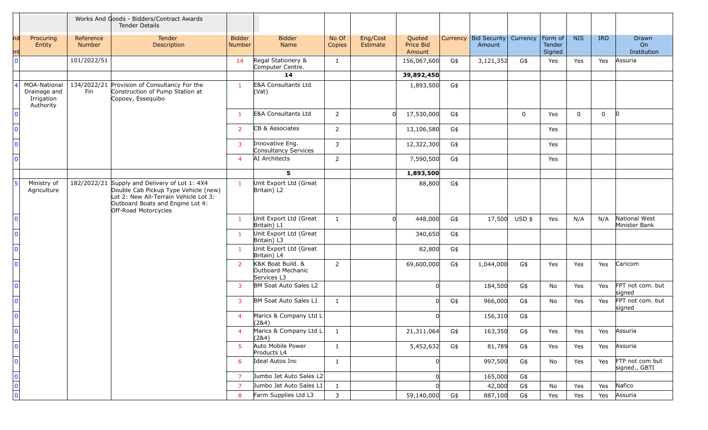|                                                 |                                                                |                            | Works And Goods - Bidders/Contract Awards<br><b>Tender Details</b>                                                                                                                         |                         |                                                       |                 |                      |                               |     |                                 |               |                                     |             |             |                                        |
|-------------------------------------------------|----------------------------------------------------------------|----------------------------|--------------------------------------------------------------------------------------------------------------------------------------------------------------------------------------------|-------------------------|-------------------------------------------------------|-----------------|----------------------|-------------------------------|-----|---------------------------------|---------------|-------------------------------------|-------------|-------------|----------------------------------------|
| ml                                              | Procuring<br>Entity                                            | Reference<br><b>Number</b> | Tender<br>Description                                                                                                                                                                      | <b>Bidder</b><br>Number | <b>Bidder</b><br>Name                                 | No Of<br>Copies | Eng/Cost<br>Estimate | Quoted<br>Price Bid<br>Amount |     | Currency Bid Security<br>Amount | Currency      | $ $ Form of $ $<br>Tender<br>Signed | <b>NIS</b>  | <b>IRD</b>  | Drawn<br>O <sub>n</sub><br>Institution |
| $\Omega$                                        |                                                                | 101/2022/51                |                                                                                                                                                                                            | 14                      | Regal Stationery &<br>Computer Centre.                | $\mathbf{1}$    |                      | 156,067,600                   | G\$ | 3,121,352                       | G\$           | Yes                                 | Yes         | Yes         | Assuria                                |
|                                                 |                                                                |                            |                                                                                                                                                                                            |                         | 14                                                    |                 |                      | 39,892,450                    |     |                                 |               |                                     |             |             |                                        |
|                                                 | <b>MOA-National</b><br>Drainage and<br>Irrigation<br>Authority | Fin                        | 134/2022/21 Provision of Consultancy For the<br>Construction of Pump Station at<br>Copoey, Essequibo                                                                                       | $\mathbf{1}$            | E&A Consultants Ltd<br>(Vat)                          |                 |                      | 1,893,500                     | G\$ |                                 |               |                                     |             |             |                                        |
| $\mathbf{0}$                                    |                                                                |                            |                                                                                                                                                                                            | $\overline{1}$          | E&A Consultants Ltd                                   | $\overline{2}$  | <sub>0</sub>         | 17,530,000                    | G\$ |                                 | $\mathbf 0$   | Yes                                 | $\mathbf 0$ | $\mathbf 0$ | $\overline{0}$                         |
| $\Omega$                                        |                                                                |                            |                                                                                                                                                                                            | $\overline{2}$          | CB & Associates                                       | $\overline{2}$  |                      | 13,106,580                    | G\$ |                                 |               | Yes                                 |             |             |                                        |
| $\Omega$                                        |                                                                |                            |                                                                                                                                                                                            | $\overline{3}$          | Innovative Eng.<br>Consultancy Services               | 3               |                      | 12,322,300                    | G\$ |                                 |               | Yes                                 |             |             |                                        |
| $\Omega$                                        |                                                                |                            |                                                                                                                                                                                            | $\overline{4}$          | AI Architects                                         | $\overline{2}$  |                      | 7,590,500                     | G\$ |                                 |               | Yes                                 |             |             |                                        |
|                                                 |                                                                |                            |                                                                                                                                                                                            |                         | 5                                                     |                 |                      | 1,893,500                     |     |                                 |               |                                     |             |             |                                        |
| -5                                              | Ministry of<br>Agriculture                                     |                            | 182/2022/21 Supply and Delivery of Lot 1: 4X4<br>Double Cab Pickup Type Vehicle (new)<br>Lot 2: New All-Terrain Vehicle Lot 3:<br>Outboard Boats and Engine Lot 4:<br>Off-Road Motorcycles | $\mathbf{1}$            | Unit Export Ltd (Great<br>Britain) L2                 |                 |                      | 88,800                        | G\$ |                                 |               |                                     |             |             |                                        |
| $\Omega$                                        |                                                                |                            |                                                                                                                                                                                            | $\mathbf{1}$            | Unit Export Ltd (Great<br>Britain) L1                 | $\mathbf{1}$    |                      | 448,000                       | G\$ |                                 | 17,500 USD \$ | Yes                                 | N/A         | N/A         | National West<br>Minister Bank         |
| $\Omega$                                        |                                                                |                            |                                                                                                                                                                                            | $\mathbf{1}$            | Unit Export Ltd (Great<br>Britain) L3                 |                 |                      | 340,650                       | G\$ |                                 |               |                                     |             |             |                                        |
| $\Omega$                                        |                                                                |                            |                                                                                                                                                                                            | $\mathbf{1}$            | Unit Export Ltd (Great<br>Britain) L4                 |                 |                      | 82,800                        | G\$ |                                 |               |                                     |             |             |                                        |
| $\Omega$                                        |                                                                |                            |                                                                                                                                                                                            | $\overline{2}$          | K&K Boat Build. &<br>Outboard Mechanic<br>Services L3 | $\overline{2}$  |                      | 69,600,000                    | G\$ | 1,044,000                       | G\$           | Yes                                 | Yes         | Yes         | Caricom                                |
| $\Omega$                                        |                                                                |                            |                                                                                                                                                                                            | $\mathbf{3}$            | BM Soat Auto Sales L2                                 |                 |                      | n                             |     | 184,500                         | G\$           | No                                  | Yes         | Yes         | FPT not com. but<br>signed             |
| $\Omega$                                        |                                                                |                            |                                                                                                                                                                                            | $\mathbf{3}$            | BM Soat Auto Sales L1                                 | $\mathbf{1}$    |                      | <sup>n</sup>                  | G\$ | 966,000                         | G\$           | No                                  | Yes         | Yes         | FPT not com. but<br>signed             |
| $\Omega$                                        |                                                                |                            |                                                                                                                                                                                            | $\overline{4}$          | Marics & Company Ltd L<br>(284)                       |                 |                      | <sup>n</sup>                  |     | 156,310                         | G\$           |                                     |             |             |                                        |
| $\Omega$                                        |                                                                |                            |                                                                                                                                                                                            | $\overline{4}$          | Marics & Company Ltd L<br>(2&4)                       | $\mathbf{1}$    |                      | 21,311,064                    | G\$ | 163,350                         | G\$           | Yes                                 | Yes         | Yes         | Assuria                                |
| $\overline{0}$                                  |                                                                |                            |                                                                                                                                                                                            | 5 <sup>5</sup>          | Auto Mobile Power<br>Products L4                      | $\mathbf{1}$    |                      | 5,452,632                     | G\$ | 81,789                          | G\$           | Yes                                 | Yes         | Yes         | Assuria                                |
| $\mathbf{0}$                                    |                                                                |                            |                                                                                                                                                                                            | 6                       | Ideal Autos Inc                                       | $\mathbf{1}$    |                      | $\Omega$                      |     | 997,500                         | G\$           | No                                  | Yes         | Yes         | FTP not com but<br>signed., GBTI       |
|                                                 |                                                                |                            |                                                                                                                                                                                            | $\overline{7}$          | Jumbo Jet Auto Sales L2                               |                 |                      | $\Omega$                      |     | 165,000                         | G\$           |                                     |             |             |                                        |
| $\overline{\mathsf{O}}$ $\overline{\mathsf{O}}$ |                                                                |                            |                                                                                                                                                                                            | $\overline{7}$          | Jumbo Jet Auto Sales L1 $\mid$                        | 1               |                      |                               |     | 42,000                          | G\$           | No                                  | Yes         | Yes         | Nafico                                 |
|                                                 |                                                                |                            |                                                                                                                                                                                            | 8                       | Farm Supplies Ltd L3                                  | $\mathsf{3}$    |                      | 59,140,000                    | G\$ | 887,100                         | G\$           | Yes                                 | Yes         | Yes         | Assuria                                |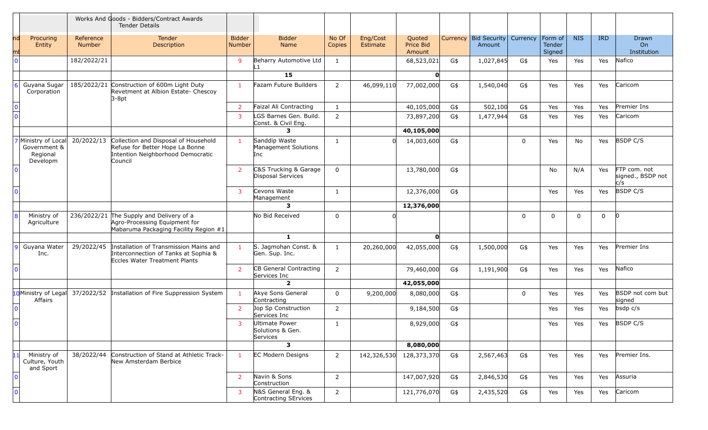|                |                                                           |                            | Works And Goods - Bidders/Contract Awards<br><b>Tender Details</b>                                                      |                                |                                                |                 |                      |                               |          |                               |          |                             |            |            |                                          |
|----------------|-----------------------------------------------------------|----------------------------|-------------------------------------------------------------------------------------------------------------------------|--------------------------------|------------------------------------------------|-----------------|----------------------|-------------------------------|----------|-------------------------------|----------|-----------------------------|------------|------------|------------------------------------------|
|                | Procuring<br>Entity                                       | Reference<br><b>Number</b> | Tender<br>Description                                                                                                   | <b>Bidder</b><br><b>Number</b> | <b>Bidder</b><br>Name                          | No Of<br>Copies | Eng/Cost<br>Estimate | Quoted<br>Price Bid<br>Amount | Currency | <b>Bid Security</b><br>Amount | Currency | Form of<br>Tender<br>Signed | <b>NIS</b> | <b>IRD</b> | Drawn<br>On<br>Institution               |
| $\Omega$       |                                                           | 182/2022/21                |                                                                                                                         | $\overline{9}$                 | Beharry Automotive Ltd<br>L1.                  | $\mathbf{1}$    |                      | 68,523,021                    | G\$      | 1,027,845                     | G\$      | Yes                         | Yes        | Yes        | Nafico                                   |
|                |                                                           |                            |                                                                                                                         |                                | 15                                             |                 |                      | $\mathbf{O}$                  |          |                               |          |                             |            |            |                                          |
| 6              | Guyana Sugar<br>Corporation                               |                            | 185/2022/21 Construction of 600m Light Duty<br>Revetment at Albion Estate- Chescoy<br>$3-8pt$                           | $\mathbf{1}$                   | Fazam Future Builders                          | $\overline{2}$  | 46,099,110           | 77,002,000                    | G\$      | 1,540,040                     | G\$      | Yes                         | Yes        | Yes        | Caricom                                  |
|                |                                                           |                            |                                                                                                                         | $\overline{2}$                 | Faizal Ali Contracting                         | 1               |                      | 40,105,000                    | G\$      | 502,100                       | G\$      | Yes                         | Yes        | Yes        | Premier Ins                              |
| $\Omega$       |                                                           |                            |                                                                                                                         | $\overline{3}$                 | LGS Barnes Gen. Build.<br>Const. & Civil Eng.  | $\overline{2}$  |                      | 73,897,200                    | G\$      | 1,477,944                     | G\$      | Yes                         | Yes        | Yes        | Caricom                                  |
|                |                                                           |                            |                                                                                                                         |                                | 3                                              |                 |                      | 40,105,000                    |          |                               |          |                             |            |            |                                          |
|                | Ministry of Local<br>Government &<br>Regional<br>Developm | 20/2022/13                 | Collection and Disposal of Household<br>Refuse for Better Hope La Bonne<br>Intention Neighborhood Democratic<br>Council | $\mathbf{1}$                   | Sanddip Waste<br>Management Solutions<br>Inc   | $\mathbf{1}$    |                      | 14,003,600                    | G\$      |                               | $\Omega$ | Yes                         | No         | Yes        | <b>BSDP C/S</b>                          |
| $\Omega$       |                                                           |                            |                                                                                                                         | $\overline{2}$                 | C&S Trucking & Garage<br>Disposal Services     | $\mathbf 0$     |                      | 13,780,000                    | G\$      |                               |          | No                          | N/A        | Yes        | FTP com. not<br>signed., BSDP not<br>c/s |
| $\Omega$       |                                                           |                            |                                                                                                                         | $\mathbf{3}$                   | Cevons Waste<br>Management                     | 1               |                      | 12,376,000                    | G\$      |                               |          | Yes                         | Yes        | Yes        | <b>BSDP C/S</b>                          |
|                |                                                           |                            |                                                                                                                         |                                | 3                                              |                 |                      | 12,376,000                    |          |                               |          |                             |            |            |                                          |
|                | Ministry of<br>Agriculture                                |                            | 236/2022/21 The Supply and Delivery of a<br>Agro-Processing Equipment for<br>Mabaruma Packaging Facility Region #1      |                                | No Bid Received                                | $\Omega$        |                      |                               |          |                               | $\Omega$ | $\Omega$                    | $\Omega$   | $\Omega$   | $\Omega$                                 |
|                |                                                           |                            |                                                                                                                         |                                | $\mathbf{1}$                                   |                 |                      | $\mathbf{o}$                  |          |                               |          |                             |            |            |                                          |
|                | 9 Guyana Water<br>Inc.                                    | 29/2022/45                 | Installation of Transmission Mains and<br>Interconnection of Tanks at Sophia &<br>Eccles Water Treatment Plants         | $\mathbf{1}$                   | S. Jagmohan Const. &<br>Gen. Sup. Inc.         | 1               | 20,260,000           | 42,055,000                    | G\$      | 1,500,000                     | G\$      | Yes                         | Yes        | Yes        | Premier Ins                              |
|                |                                                           |                            |                                                                                                                         | $\overline{2}$                 | CB General Contracting<br>Services Inc         | $\overline{2}$  |                      | 79,460,000                    | G\$      | 1,191,900                     | G\$      | Yes                         | Yes        | Yes        | Nafico                                   |
|                |                                                           |                            |                                                                                                                         |                                | $\overline{\mathbf{2}}$                        |                 |                      | 42,055,000                    |          |                               |          |                             |            |            |                                          |
|                | 10 Ministry of Legal<br>Affairs                           | 37/2022/52                 | Installation of Fire Suppression System                                                                                 | $\mathbf{1}$                   | Akye Sons General<br>Contracting               | $\Omega$        | 9,200,000            | 8,080,000                     | G\$      |                               | $\Omega$ | Yes                         | Yes        | Yes        | BSDP not com but<br>signed               |
| $\Omega$       |                                                           |                            |                                                                                                                         | $\overline{2}$                 | Jop Sp Construction<br>Services Inc            | $\overline{2}$  |                      | 9,184,500                     | G\$      |                               |          | Yes                         | Yes        | Yes        | $bsdp$ $c/s$                             |
| $\mathbf{0}$   |                                                           |                            |                                                                                                                         | $\mathbf{3}$                   | Ultimate Power<br>Solutions & Gen.<br>Services | -1              |                      | 8,929,000                     | G\$      |                               |          | Yes                         | Yes        | Yes        | <b>BSDP C/S</b>                          |
|                |                                                           |                            |                                                                                                                         |                                | 3                                              |                 |                      | 8,080,000                     |          |                               |          |                             |            |            |                                          |
|                | Ministry of<br>Culture, Youth<br>and Sport                | 38/2022/44                 | Construction of Stand at Athletic Track-<br>New Amsterdam Berbice                                                       | $\mathbf{1}$                   | <b>EC Modern Designs</b>                       | $\overline{2}$  | 142,326,530          | 128,373,370                   | G\$      | 2,567,463                     | G\$      | Yes                         | Yes        | Yes        | Premier Ins.                             |
| $\mathbf 0$    |                                                           |                            |                                                                                                                         | $\overline{2}$                 | Navin & Sons<br>Construction                   | $\overline{2}$  |                      | 147,007,920                   | G\$      | 2,846,530                     | G\$      | Yes                         | Yes        | Yes        | Assuria                                  |
| $\overline{0}$ |                                                           |                            |                                                                                                                         | $\mathbf{3}$                   | N&S General Eng. &<br>Contracting SErvices     | $\overline{2}$  |                      | 121,776,070                   | G\$      | 2,435,520                     | G\$      | Yes                         | Yes        | Yes        | Caricom                                  |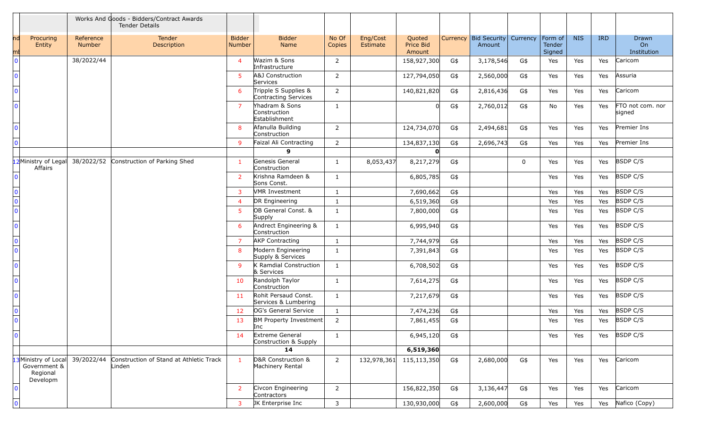|                         |                                                              |                     | Works And Goods - Bidders/Contract Awards<br><b>Tender Details</b> |                                |                                                 |                 |                      |                               |     |                                 |              |                             |            |            |                            |
|-------------------------|--------------------------------------------------------------|---------------------|--------------------------------------------------------------------|--------------------------------|-------------------------------------------------|-----------------|----------------------|-------------------------------|-----|---------------------------------|--------------|-----------------------------|------------|------------|----------------------------|
| ndl<br>mı               | Procuring<br>Entity                                          | Reference<br>Number | Tender<br>Description                                              | <b>Bidder</b><br><b>Number</b> | <b>Bidder</b><br>Name                           | No Of<br>Copies | Eng/Cost<br>Estimate | Quoted<br>Price Bid<br>Amount |     | Currency Bid Security<br>Amount | Currency     | Form of<br>Tender<br>Signed | <b>NIS</b> | <b>IRD</b> | Drawn<br>On<br>Institution |
| $\mathbf{0}$            |                                                              | 38/2022/44          |                                                                    | $\overline{4}$                 | Wazim & Sons<br>Infrastructure                  | $\overline{2}$  |                      | 158,927,300                   | G\$ | 3,178,546                       | G\$          | Yes                         | Yes        | Yes        | Caricom                    |
| $\Omega$                |                                                              |                     |                                                                    | 5 <sup>1</sup>                 | A&J Construction<br>Services                    | $\overline{2}$  |                      | 127,794,050                   | G\$ | 2,560,000                       | G\$          | Yes                         | Yes        | Yes        | Assuria                    |
| $\Omega$                |                                                              |                     |                                                                    | 6                              | Tripple S Supplies &<br>Contracting Services    | $\overline{2}$  |                      | 140,821,820                   | G\$ | 2,816,436                       | G\$          | Yes                         | Yes        | Yes        | Caricom                    |
| $\Omega$                |                                                              |                     |                                                                    | $\overline{7}$                 | Yhadram & Sons<br>Construction<br>Establishment | $\mathbf{1}$    |                      |                               | G\$ | 2,760,012                       | G\$          | No                          | Yes        | Yes        | FTO not com. nor<br>signed |
| $\Omega$                |                                                              |                     |                                                                    | 8                              | Afanulla Building<br>Construction               | $\overline{2}$  |                      | 124,734,070                   | G\$ | 2,494,681                       | G\$          | Yes                         | Yes        | Yes        | Premier Ins                |
| $\mathbf{0}$            |                                                              |                     |                                                                    | 9                              | Faizal Ali Contracting                          | $\overline{2}$  |                      | 134,837,130                   | G\$ | 2,696,743                       | G\$          | Yes                         | Yes        | Yes        | Premier Ins                |
|                         |                                                              |                     |                                                                    |                                | 9                                               |                 |                      | O                             |     |                                 |              |                             |            |            |                            |
|                         | 12 Ministry of Legal<br>Affairs                              |                     | 38/2022/52 Construction of Parking Shed                            | $\mathbf{1}$                   | Genesis General<br>Construction                 | $\mathbf{1}$    | 8,053,437            | 8,217,279                     | G\$ |                                 | $\mathbf{0}$ | Yes                         | Yes        | Yes        | <b>BSDP C/S</b>            |
| $\Omega$                |                                                              |                     |                                                                    | <sup>2</sup>                   | Krishna Ramdeen &<br>Sons Const.                | $\mathbf{1}$    |                      | 6,805,785                     | G\$ |                                 |              | Yes                         | Yes        | Yes        | <b>BSDP C/S</b>            |
| $\mathbf 0$             |                                                              |                     |                                                                    | $\mathbf{3}$                   | <b>VMR Investment</b>                           | 1               |                      | 7,690,662                     | G\$ |                                 |              | Yes                         | Yes        | Yes        | <b>BSDP C/S</b>            |
| $\overline{\mathbf{0}}$ |                                                              |                     |                                                                    | $\overline{4}$                 | DR Engineering                                  | 1               |                      | 6,519,360                     | G\$ |                                 |              | Yes                         | Yes        | Yes        | <b>BSDP C/S</b>            |
| $\overline{0}$          |                                                              |                     |                                                                    | $5^{\circ}$                    | OB General Const. &<br>Supply                   | $\mathbf{1}$    |                      | 7,800,000                     | G\$ |                                 |              | Yes                         | Yes        | Yes        | <b>BSDP C/S</b>            |
| $\mathbf{0}$            |                                                              |                     |                                                                    | 6                              | Andrect Engineering &<br>Construction           | $\mathbf{1}$    |                      | 6,995,940                     | G\$ |                                 |              | Yes                         | Yes        | Yes        | <b>BSDP C/S</b>            |
| $\mathbf 0$             |                                                              |                     |                                                                    | $\overline{7}$                 | <b>AKP Contracting</b>                          | $\mathbf{1}$    |                      | 7,744,979                     | G\$ |                                 |              | Yes                         | Yes        | Yes        | <b>BSDP C/S</b>            |
| $\overline{0}$          |                                                              |                     |                                                                    | 8                              | Modern Engineering<br>Supply & Services         | $\mathbf{1}$    |                      | 7,391,843                     | G\$ |                                 |              | Yes                         | Yes        | Yes        | <b>BSDP C/S</b>            |
| $\Omega$                |                                                              |                     |                                                                    | 9                              | K Ramdial Construction<br>& Services            | $\mathbf{1}$    |                      | 6,708,502                     | G\$ |                                 |              | Yes                         | Yes        | Yes        | <b>BSDP C/S</b>            |
| $\Omega$                |                                                              |                     |                                                                    | 10                             | Randolph Taylor<br>Construction                 | 1               |                      | 7,614,275                     | G\$ |                                 |              | Yes                         | Yes        | Yes        | <b>BSDP C/S</b>            |
| $\Omega$                |                                                              |                     |                                                                    | 11                             | Rohit Persaud Const.<br>Services & Lumbering    | $\mathbf{1}$    |                      | 7,217,679                     | G\$ |                                 |              | Yes                         | Yes        | Yes        | <b>BSDP C/S</b>            |
| $\frac{0}{0}$           |                                                              |                     |                                                                    | 12                             | OG's General Service                            | $\mathbf{1}$    |                      | 7,474,236                     | G\$ |                                 |              | Yes                         | Yes        | Yes        | <b>BSDP C/S</b>            |
|                         |                                                              |                     |                                                                    | 13                             | <b>BM Property Investment</b><br>Inc            | $\overline{2}$  |                      | 7,861,455                     | G\$ |                                 |              | Yes                         | Yes        | Yes        | <b>BSDP C/S</b>            |
| $\mathbf 0$             |                                                              |                     |                                                                    | 14                             | Extreme General<br>Construction & Supply        | 1               |                      | 6,945,120                     | G\$ |                                 |              | Yes                         | Yes        | Yes        | <b>BSDP C/S</b>            |
|                         |                                                              |                     |                                                                    |                                | 14                                              |                 |                      | 6,519,360                     |     |                                 |              |                             |            |            |                            |
|                         | 13 Ministry of Local<br>Government &<br>Regional<br>Developm | 39/2022/44          | Construction of Stand at Athletic Track<br>Linden                  | $\mathbf{1}$                   | D&R Construction &<br>Machinery Rental          | $\overline{2}$  |                      | 132,978,361 115,113,350       | G\$ | 2,680,000                       | G\$          | Yes                         | Yes        | Yes        | Caricom                    |
| $\Omega$                |                                                              |                     |                                                                    | <sup>2</sup>                   | Civcon Engineering<br>Contractors               | $\overline{2}$  |                      | 156,822,350                   | G\$ | 3,136,447                       | G\$          | Yes                         | Yes        | Yes        | Caricom                    |
| $\overline{0}$          |                                                              |                     |                                                                    | $\mathbf{3}$                   | JK Enterprise Inc                               | $\overline{3}$  |                      | 130,930,000                   | G\$ | 2,600,000                       | G\$          | Yes                         | Yes        | Yes        | Nafico (Copy)              |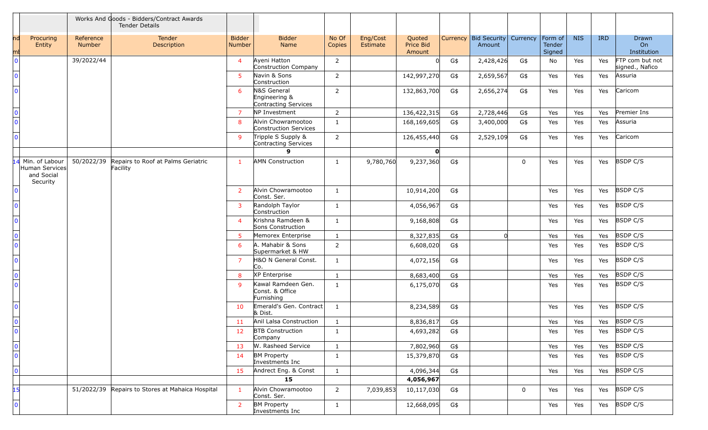|                                    |                                                            |                     | Works And Goods - Bidders/Contract Awards<br><b>Tender Details</b> |                         |                                                      |                 |                      |                               |     |                                          |             |                             |            |            |                                    |
|------------------------------------|------------------------------------------------------------|---------------------|--------------------------------------------------------------------|-------------------------|------------------------------------------------------|-----------------|----------------------|-------------------------------|-----|------------------------------------------|-------------|-----------------------------|------------|------------|------------------------------------|
| ndl<br>mı                          | Procuring<br>Entity                                        | Reference<br>Number | Tender<br>Description                                              | <b>Bidder</b><br>Number | <b>Bidder</b><br>Name                                | No Of<br>Copies | Eng/Cost<br>Estimate | Quoted<br>Price Bid<br>Amount |     | Currency Bid Security Currency<br>Amount |             | Form of<br>Tender<br>Signed | <b>NIS</b> | <b>IRD</b> | Drawn<br>On<br>Institution         |
| $\mathbf{0}$                       |                                                            | 39/2022/44          |                                                                    | $\overline{4}$          | Ayeni Hatton<br>Construction Company                 | $\overline{2}$  |                      |                               | G\$ | 2,428,426                                | G\$         | No.                         | Yes        | Yes        | FTP com but not<br>signed., Nafico |
| $\Omega$                           |                                                            |                     |                                                                    | 5 <sup>1</sup>          | Navin & Sons<br>Construction                         | $2^{\circ}$     |                      | 142,997,270                   | G\$ | 2,659,567                                | G\$         | Yes                         | Yes        | Yes        | Assuria                            |
| $\Omega$                           |                                                            |                     |                                                                    | 6                       | N&S General<br>Engineering &<br>Contracting Services | $\overline{2}$  |                      | 132,863,700                   | G\$ | 2,656,274                                | G\$         | Yes                         | Yes        | Yes        | Caricom                            |
| $\mathbf{0}$                       |                                                            |                     |                                                                    | 7                       | NP Investment                                        | $\overline{2}$  |                      | 136,422,315                   | G\$ | 2,728,446                                | G\$         | Yes                         | Yes        | Yes        | Premier Ins                        |
| $\overline{0}$                     |                                                            |                     |                                                                    | 8                       | Alvin Chowramootoo<br>Construction Services          | $\mathbf{1}$    |                      | 168,169,605                   | G\$ | 3,400,000                                | G\$         | Yes                         | Yes        | Yes        | Assuria                            |
| $\mathbf{0}$                       |                                                            |                     |                                                                    | 9                       | Tripple S Supply &<br>Contracting Services           | $\overline{2}$  |                      | 126,455,440                   | G\$ | 2,529,109                                | G\$         | Yes                         | Yes        | Yes        | Caricom                            |
|                                    |                                                            |                     |                                                                    |                         | g                                                    |                 |                      | $\mathbf{o}$                  |     |                                          |             |                             |            |            |                                    |
|                                    | Min. of Labour<br>Human Services<br>and Social<br>Security | 50/2022/39          | Repairs to Roof at Palms Geriatric<br>Facility                     | $\mathbf{1}$            | <b>AMN Construction</b>                              | $\mathbf{1}$    | 9,780,760            | 9,237,360                     | G\$ |                                          | $\mathbf 0$ | Yes                         | Yes        | Yes        | <b>BSDP C/S</b>                    |
| $\Omega$                           |                                                            |                     |                                                                    | 2                       | Alvin Chowramootoo<br>Const. Ser.                    | $\mathbf{1}$    |                      | 10,914,200                    | G\$ |                                          |             | Yes                         | Yes        | Yes        | <b>BSDP C/S</b>                    |
| $\Omega$                           |                                                            |                     |                                                                    | 3                       | Randolph Taylor<br>Construction                      | $\mathbf{1}$    |                      | 4,056,967                     | G\$ |                                          |             | Yes                         | Yes        | Yes        | <b>BSDP C/S</b>                    |
| $\mathbf{0}$                       |                                                            |                     |                                                                    | $\overline{4}$          | Krishna Ramdeen &<br>Sons Construction               | 1               |                      | 9,168,808                     | G\$ |                                          |             | Yes                         | Yes        | Yes        | <b>BSDP C/S</b>                    |
| $\overline{0}$                     |                                                            |                     |                                                                    | 5                       | Memorex Enterprise                                   | $\mathbf{1}$    |                      | 8,327,835                     | G\$ |                                          |             | Yes                         | Yes        | Yes        | <b>BSDP C/S</b>                    |
| $\overline{0}$                     |                                                            |                     |                                                                    | 6                       | A. Mahabir & Sons<br>Supermarket & HW                | $\overline{2}$  |                      | 6,608,020                     | G\$ |                                          |             | Yes                         | Yes        | Yes        | <b>BSDP C/S</b>                    |
| $\Omega$                           |                                                            |                     |                                                                    | $\overline{7}$          | H&O N General Const.<br>Co.                          | $\mathbf{1}$    |                      | 4,072,156                     | G\$ |                                          |             | Yes                         | Yes        | Yes        | <b>BSDP C/S</b>                    |
| $\mathbf 0$                        |                                                            |                     |                                                                    | 8                       | XP Enterprise                                        | $\mathbf{1}$    |                      | 8,683,400                     | G\$ |                                          |             | Yes                         | Yes        | Yes        | <b>BSDP C/S</b>                    |
| $\overline{0}$                     |                                                            |                     |                                                                    | 9                       | Kawal Ramdeen Gen.<br>Const. & Office<br>Furnishing  | 1               |                      | 6,175,070                     | G\$ |                                          |             | Yes                         | Yes        | Yes        | <b>BSDP C/S</b>                    |
| $\mathbf{0}$                       |                                                            |                     |                                                                    | 10                      | Emerald's Gen. Contract<br>& Dist.                   | 1               |                      | 8,234,589                     | G\$ |                                          |             | Yes                         | Yes        | Yes        | <b>BSDP C/S</b>                    |
| $\overline{\mathbf{0}}$            |                                                            |                     |                                                                    | 11                      | Anil Lalsa Construction                              | $\mathbf{1}$    |                      | 8,836,817                     | G\$ |                                          |             | Yes                         | Yes        |            | Yes BSDP C/S                       |
|                                    |                                                            |                     |                                                                    | 12                      | <b>BTB Construction</b><br>Company                   | 1               |                      | 4,693,282                     | G\$ |                                          |             | Yes                         | Yes        |            | Yes BSDP C/S                       |
| $\overline{\mathbf{0}}$            |                                                            |                     |                                                                    | 13                      | W. Rasheed Service                                   | $\mathbf{1}$    |                      | 7,802,960                     | G\$ |                                          |             | Yes                         | Yes        |            | Yes BSDP C/S                       |
| $\overline{\overline{\mathbf{0}}}$ |                                                            |                     |                                                                    | 14                      | <b>BM Property</b><br>Investments Inc                | $\mathbf{1}$    |                      | 15,379,870                    | G\$ |                                          |             | Yes                         | Yes        | Yes        | BSDP C/S                           |
| $\mathbf 0$                        |                                                            |                     |                                                                    | 15                      | Andrect Eng. & Const                                 | $\mathbf{1}$    |                      | 4,096,344                     | G\$ |                                          |             | Yes                         | Yes        |            | Yes BSDP C/S                       |
|                                    |                                                            |                     |                                                                    |                         | 15                                                   |                 |                      | 4,056,967                     |     |                                          |             |                             |            |            |                                    |
| 15                                 |                                                            |                     | 51/2022/39 Repairs to Stores at Mahaica Hospital                   |                         | Alvin Chowramootoo<br>Const. Ser.                    | $\overline{2}$  | 7,039,853            | 10,117,030                    | G\$ |                                          | $\mathbf 0$ | Yes                         | Yes        |            | Yes BSDP C/S                       |
| $\mathbf{0}$                       |                                                            |                     |                                                                    | $\overline{2}$          | <b>BM Property</b><br>Investments Inc                | $\mathbf{1}$    |                      | 12,668,095                    | G\$ |                                          |             | Yes                         | Yes        |            | Yes BSDP C/S                       |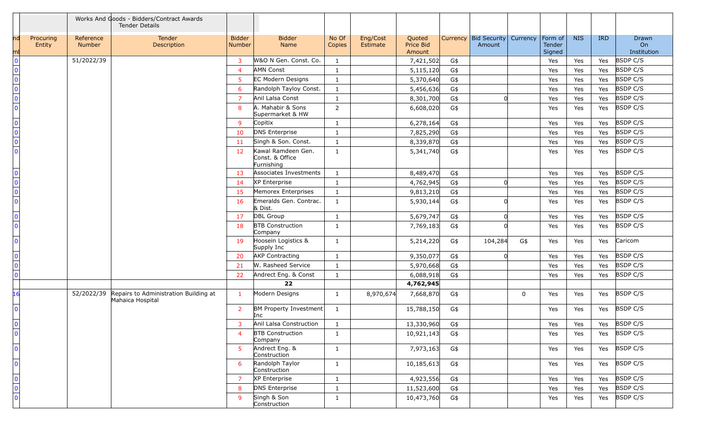|                           |                     |                     | Works And Goods - Bidders/Contract Awards<br><b>Tender Details</b> |                         |                                                     |                 |                      |                               |     |                                              |     |                             |            |            |                            |
|---------------------------|---------------------|---------------------|--------------------------------------------------------------------|-------------------------|-----------------------------------------------------|-----------------|----------------------|-------------------------------|-----|----------------------------------------------|-----|-----------------------------|------------|------------|----------------------------|
| ndl<br>mı                 | Procuring<br>Entity | Reference<br>Number | Tender<br>Description                                              | <b>Bidder</b><br>Number | <b>Bidder</b><br>Name                               | No Of<br>Copies | Eng/Cost<br>Estimate | Quoted<br>Price Bid<br>Amount |     | Currency   Bid Security   Currency<br>Amount |     | Form of<br>Tender<br>Signed | <b>NIS</b> | <b>IRD</b> | Drawn<br>On<br>Institution |
| $\bf{0}$                  |                     | 51/2022/39          |                                                                    | 3                       | W&O N Gen. Const. Co.                               | 1               |                      | 7,421,502                     | G\$ |                                              |     | Yes                         | Yes        | Yes        | <b>BSDP C/S</b>            |
| $\overline{\mathbf{0}}$   |                     |                     |                                                                    | $\overline{4}$          | <b>AMN Const</b>                                    | 1               |                      | 5,115,120                     | G\$ |                                              |     | Yes                         | Yes        | Yes        | <b>BSDP C/S</b>            |
| $\overline{\mathbf{0}}$   |                     |                     |                                                                    | 5                       | <b>EC Modern Designs</b>                            | 1               |                      | 5,370,640                     | G\$ |                                              |     | Yes                         | Yes        | Yes        | <b>BSDP C/S</b>            |
| $\frac{0}{0}$             |                     |                     |                                                                    | 6                       | Randolph Tayloy Const.                              | $\mathbf{1}$    |                      | 5,456,636                     | G\$ |                                              |     | Yes                         | Yes        | Yes        | <b>BSDP C/S</b>            |
|                           |                     |                     |                                                                    | $\overline{7}$          | Anil Lalsa Const                                    | 1               |                      | 8,301,700                     | G\$ | ΩI                                           |     | Yes                         | Yes        | Yes        | <b>BSDP C/S</b>            |
| $\overline{\mathbf{0}}$   |                     |                     |                                                                    | 8                       | A. Mahabir & Sons<br>Supermarket & HW               | $\overline{2}$  |                      | 6,608,020                     | G\$ |                                              |     | Yes                         | Yes        | Yes        | <b>BSDP C/S</b>            |
| $\frac{0}{0}$             |                     |                     |                                                                    | 9                       | Copitix                                             | 1               |                      | 6,278,164                     | G\$ |                                              |     | Yes                         | Yes        | Yes        | <b>BSDP C/S</b>            |
|                           |                     |                     |                                                                    | 10                      | DNS Enterprise                                      | $\mathbf{1}$    |                      | 7,825,290                     | G\$ |                                              |     | Yes                         | Yes        | Yes        | <b>BSDP C/S</b>            |
| $\overline{\mathbf{0}}$   |                     |                     |                                                                    | 11                      | Singh & Son. Const.                                 | $\mathbf{1}$    |                      | 8,339,870                     | G\$ |                                              |     | Yes                         | Yes        | Yes        | <b>BSDP C/S</b>            |
| $\overline{0}$            |                     |                     |                                                                    | 12                      | Kawal Ramdeen Gen.<br>Const. & Office<br>Furnishing | $\mathbf{1}$    |                      | 5,341,740                     | G\$ |                                              |     | Yes                         | Yes        | Yes        | <b>BSDP C/S</b>            |
| $\frac{0}{0}$             |                     |                     |                                                                    | 13                      | Associates Investments                              | $\mathbf{1}$    |                      | 8,489,470                     | G\$ |                                              |     | Yes                         | Yes        | Yes        | <b>BSDP C/S</b>            |
|                           |                     |                     |                                                                    | 14                      | XP Enterprise                                       | $\mathbf{1}$    |                      | 4,762,945                     | G\$ | ΩI                                           |     | Yes                         | Yes        | Yes        | <b>BSDP C/S</b>            |
| $\overline{\mathbf{0}}$   |                     |                     |                                                                    | 15                      | Memorex Enterprises                                 | 1               |                      | 9,813,210                     | G\$ |                                              |     | Yes                         | Yes        | Yes        | <b>BSDP C/S</b>            |
| $\overline{\mathbf{0}}$   |                     |                     |                                                                    | 16                      | Emeralds Gen. Contrac.<br>& Dist.                   | $\mathbf{1}$    |                      | 5,930,144                     | G\$ |                                              |     | Yes                         | Yes        | Yes        | <b>BSDP C/S</b>            |
| $\mathbf 0$               |                     |                     |                                                                    | 17                      | DBL Group                                           | 1               |                      | 5,679,747                     | G\$ | <sup>n</sup>                                 |     | Yes                         | Yes        | Yes        | <b>BSDP C/S</b>            |
| $\overline{\mathbf{0}}$   |                     |                     |                                                                    | 18                      | <b>BTB Construction</b><br>Company                  | 1               |                      | 7,769,183                     | G\$ |                                              |     | Yes                         | Yes        | Yes        | <b>BSDP C/S</b>            |
| $\Omega$                  |                     |                     |                                                                    | 19                      | Hoosein Logistics &<br>Supply Inc                   | $\mathbf{1}$    |                      | 5,214,220                     | G\$ | 104,284                                      | G\$ | Yes                         | Yes        | Yes        | Caricom                    |
| $\pmb{0}$                 |                     |                     |                                                                    | 20                      | <b>AKP Contracting</b>                              | $\mathbf{1}$    |                      | 9,350,077                     | G\$ | ΩI                                           |     | Yes                         | Yes        | Yes        | <b>BSDP C/S</b>            |
| $\overline{\mathbf{0}}$   |                     |                     |                                                                    | 21                      | W. Rasheed Service                                  | $\mathbf{1}$    |                      | 5,970,668                     | G\$ |                                              |     | Yes                         | Yes        | Yes        | <b>BSDP C/S</b>            |
| $\overline{0}$            |                     |                     |                                                                    | 22                      | Andrect Eng. & Const                                | $\mathbf{1}$    |                      | 6,088,918                     | G\$ |                                              |     | Yes                         | Yes        | Yes        | <b>BSDP C/S</b>            |
|                           |                     |                     |                                                                    |                         | 22                                                  |                 |                      | 4,762,945                     |     |                                              |     |                             |            |            |                            |
| 16                        |                     | 52/2022/39          | Repairs to Administration Building at<br>Mahaica Hospital          | $\mathbf{1}$            | Modern Designs                                      | $\mathbf{1}$    | 8,970,674            | 7,668,870                     | G\$ |                                              | 0   | Yes                         | Yes        | Yes        | <b>BSDP C/S</b>            |
| $\mathbf 0$               |                     |                     |                                                                    | $\overline{2}$          | BM Property Investment<br>Inc                       | $\mathbf{1}$    |                      | 15,788,150                    | G\$ |                                              |     | Yes                         | Yes        | Yes        | <b>BSDP C/S</b>            |
| $\overline{\mathbf{0}}$   |                     |                     |                                                                    | 3                       | Anil Lalsa Construction                             |                 |                      | 13,330,960                    | G\$ |                                              |     | Yes                         | Yes        |            | Yes BSDP C/S               |
| $\mathbf{0}$              |                     |                     |                                                                    | $\overline{4}$          | <b>BTB Construction</b><br>Company                  | $\mathbf{1}$    |                      | 10,921,143                    | G\$ |                                              |     | Yes                         | Yes        | Yes        | <b>BSDP C/S</b>            |
| $\mathbf{0}$              |                     |                     |                                                                    | 5.                      | Andrect Eng. &<br>Construction                      | $\mathbf{1}$    |                      | 7,973,163                     | G\$ |                                              |     | Yes                         | Yes        |            | Yes BSDP C/S               |
| $\mathbf{0}$              |                     |                     |                                                                    | 6                       | Randolph Taylor<br>Construction                     | $\mathbf{1}$    |                      | 10,185,613                    | G\$ |                                              |     | Yes                         | Yes        | Yes        | <b>BSDP C/S</b>            |
| $\pmb{0}$                 |                     |                     |                                                                    | 7                       | XP Enterprise                                       | $\mathbf{1}$    |                      | 4,923,556                     | G\$ |                                              |     | Yes                         | Yes        | Yes        | <b>BSDP C/S</b>            |
| $\overline{\overline{0}}$ |                     |                     |                                                                    | 8                       | <b>DNS Enterprise</b>                               | $\mathbf{1}$    |                      | 11,523,600                    | G\$ |                                              |     | Yes                         | Yes        | Yes        | <b>BSDP C/S</b>            |
|                           |                     |                     |                                                                    | 9                       | Singh & Son<br>Construction                         | $\mathbf{1}$    |                      | 10,473,760                    | G\$ |                                              |     | Yes                         | Yes        | Yes        | <b>BSDP C/S</b>            |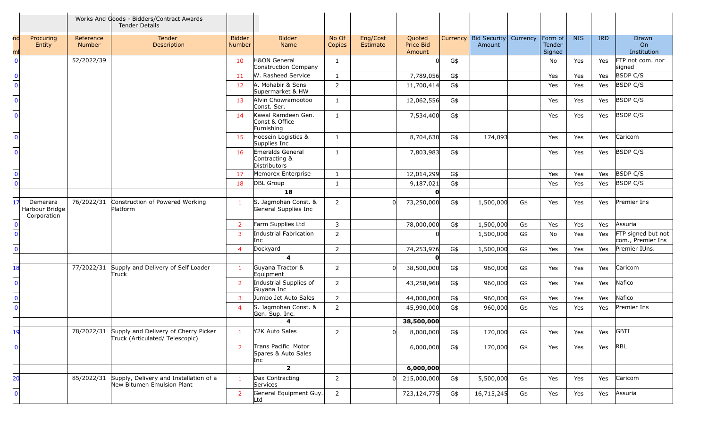|                |                                           |                     | Works And Goods - Bidders/Contract Awards<br><b>Tender Details</b>                |                                |                                                    |                 |                      |                               |     |                                   |          |                             |            |            |                                         |
|----------------|-------------------------------------------|---------------------|-----------------------------------------------------------------------------------|--------------------------------|----------------------------------------------------|-----------------|----------------------|-------------------------------|-----|-----------------------------------|----------|-----------------------------|------------|------------|-----------------------------------------|
| mt             | Procuring<br>Entity                       | Reference<br>Number | Tender<br>Description                                                             | <b>Bidder</b><br><b>Number</b> | <b>Bidder</b><br>Name                              | No Of<br>Copies | Eng/Cost<br>Estimate | Quoted<br>Price Bid<br>Amount |     | Currency   Bid Security<br>Amount | Currency | Form of<br>Tender<br>Signed | <b>NIS</b> | <b>IRD</b> | Drawn<br>On<br>Institution              |
| $\Omega$       |                                           | 52/2022/39          |                                                                                   | 10                             | H&ON General<br>Construction Company               | 1               |                      |                               | G\$ |                                   |          | No                          | Yes        | Yes        | FTP not com. nor<br>signed              |
| $\Omega$       |                                           |                     |                                                                                   | 11                             | W. Rasheed Service                                 | $\mathbf{1}$    |                      | 7,789,056                     | G\$ |                                   |          | Yes                         | Yes        | Yes        | <b>BSDP C/S</b>                         |
| $\mathbf{0}$   |                                           |                     |                                                                                   | 12                             | A. Mohabir & Sons<br>Supermarket & HW              | $\overline{2}$  |                      | 11,700,414                    | G\$ |                                   |          | Yes                         | Yes        | Yes        | <b>BSDP C/S</b>                         |
| $\Omega$       |                                           |                     |                                                                                   | 13                             | Alvin Chowramootoo<br>Const. Ser.                  | $\mathbf{1}$    |                      | 12,062,556                    | G\$ |                                   |          | Yes                         | Yes        | Yes        | <b>BSDP C/S</b>                         |
| $\Omega$       |                                           |                     |                                                                                   | 14                             | Kawal Ramdeen Gen.<br>Const & Office<br>Furnishing | $\mathbf{1}$    |                      | 7,534,400                     | G\$ |                                   |          | Yes                         | Yes        | Yes        | <b>BSDP C/S</b>                         |
| $\Omega$       |                                           |                     |                                                                                   | 15                             | Hoosein Logistics &<br>Supplies Inc                | $\mathbf{1}$    |                      | 8,704,630                     | G\$ | 174,093                           |          | Yes                         | Yes        | Yes        | Caricom                                 |
| $\Omega$       |                                           |                     |                                                                                   | 16                             | Emeralds General<br>Contracting &<br>Distributors  | 1               |                      | 7,803,983                     | G\$ |                                   |          | Yes                         | Yes        | Yes        | <b>BSDP C/S</b>                         |
| $\mathbf 0$    |                                           |                     |                                                                                   | 17                             | Memorex Enterprise                                 | $\mathbf{1}$    |                      | 12,014,299                    | G\$ |                                   |          | Yes                         | Yes        | Yes        | <b>BSDP C/S</b>                         |
| $\overline{0}$ |                                           |                     |                                                                                   | 18                             | DBL Group                                          | 1               |                      | 9,187,021                     | G\$ |                                   |          | Yes                         | Yes        | Yes        | <b>BSDP C/S</b>                         |
|                |                                           |                     |                                                                                   |                                | 18                                                 |                 |                      | n                             |     |                                   |          |                             |            |            |                                         |
|                | Demerara<br>Harbour Bridge<br>Corporation | 76/2022/31          | Construction of Powered Working<br>Platform                                       | $\mathbf{1}$                   | S. Jagmohan Const. &<br>General Supplies Inc       | $\overline{2}$  |                      | 73,250,000                    | G\$ | 1,500,000                         | G\$      | Yes                         | Yes        | Yes        | Premier Ins                             |
|                |                                           |                     |                                                                                   | $\overline{2}$                 | Farm Supplies Ltd                                  | 3               |                      | 78,000,000                    | G\$ | 1,500,000                         | G\$      | Yes                         | Yes        | Yes        | Assuria                                 |
| $\Omega$       |                                           |                     |                                                                                   | 3                              | Industrial Fabrication<br>Inc                      | $\overline{2}$  |                      |                               |     | 1,500,000                         | G\$      | No                          | Yes        | Yes        | FTP signed but not<br>com., Premier Ins |
| $\Omega$       |                                           |                     |                                                                                   | $\overline{4}$                 | Dockyard                                           | $\overline{2}$  |                      | 74,253,976                    | G\$ | 1,500,000                         | G\$      | Yes                         | Yes        | Yes        | Premier IUns.                           |
|                |                                           |                     |                                                                                   |                                | $\overline{\mathbf{4}}$                            |                 |                      | O                             |     |                                   |          |                             |            |            |                                         |
| 18             |                                           | 77/2022/31          | Supply and Delivery of Self Loader<br>Truck                                       | $\mathbf{1}$                   | Guyana Tractor &<br>Equipment                      | $\overline{2}$  |                      | 38,500,000                    | G\$ | 960,000                           | G\$      | Yes                         | Yes        | Yes        | Caricom                                 |
| $\Omega$       |                                           |                     |                                                                                   | 2                              | Industrial Supplies of<br>Guyana Inc               | $\overline{2}$  |                      | 43,258,968                    | G\$ | 960,000                           | G\$      | Yes                         | Yes        | Yes        | Nafico                                  |
| $\mathbf{0}$   |                                           |                     |                                                                                   | 3                              | Jumbo Jet Auto Sales                               | $\overline{2}$  |                      | 44,000,000                    | G\$ | 960,000                           | G\$      | Yes                         | Yes        | Yes        | Nafico                                  |
| $\Omega$       |                                           |                     |                                                                                   | $\overline{4}$                 | S. Jagmohan Const. &<br>Gen. Sup. Inc.             | $\overline{2}$  |                      | 45,990,000                    | G\$ | 960,000                           | G\$      | Yes                         | Yes        | Yes        | Premier Ins                             |
|                |                                           |                     |                                                                                   |                                | 4                                                  |                 |                      | 38,500,000                    |     |                                   |          |                             |            |            |                                         |
| 19             |                                           |                     | 78/2022/31 Supply and Delivery of Cherry Picker<br>Truck (Articulated/Telescopic) |                                | Y2K Auto Sales                                     | $\overline{2}$  |                      | 8,000,000                     | G\$ | 170,000                           | G\$      | Yes                         | Yes        | Yes        | <b>GBTI</b>                             |
| $\overline{0}$ |                                           |                     |                                                                                   | 2                              | Trans Pacific Motor<br>Spares & Auto Sales<br>Inc. |                 |                      | 6,000,000                     | G\$ | 170,000                           | G\$      | Yes                         | Yes        | Yes RBL    |                                         |
|                |                                           |                     |                                                                                   |                                | $\overline{\mathbf{2}}$                            |                 |                      | 6,000,000                     |     |                                   |          |                             |            |            |                                         |
| 20             |                                           |                     | 85/2022/31 Supply, Delivery and Installation of a<br>New Bitumen Emulsion Plant   | $\mathbf{1}$                   | Dax Contracting<br>Services                        | $\overline{2}$  | OL.                  | 215,000,000                   | G\$ | 5,500,000                         | G\$      | Yes                         | Yes        | Yes        | Caricom                                 |
| $\overline{0}$ |                                           |                     |                                                                                   | $\overline{2}$                 | General Equipment Guy.<br>Ltd                      | $2^{\circ}$     |                      | 723,124,775                   | G\$ | 16,715,245                        | G\$      | Yes                         | Yes        | Yes        | Assuria                                 |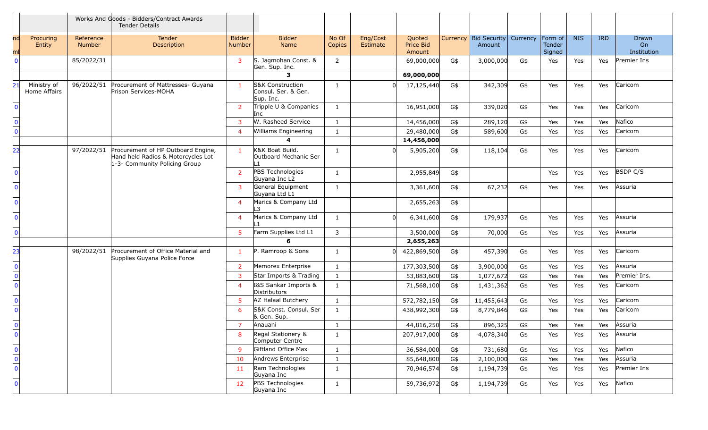|                                                |                             |                            | Works And Goods - Bidders/Contract Awards<br><b>Tender Details</b>                                        |                                |                                                                 |                 |                      |                               |     |                                 |          |                             |            |            |                            |
|------------------------------------------------|-----------------------------|----------------------------|-----------------------------------------------------------------------------------------------------------|--------------------------------|-----------------------------------------------------------------|-----------------|----------------------|-------------------------------|-----|---------------------------------|----------|-----------------------------|------------|------------|----------------------------|
|                                                | Procuring<br>Entity         | Reference<br><b>Number</b> | Tender<br>Description                                                                                     | <b>Bidder</b><br><b>Number</b> | <b>Bidder</b><br>Name                                           | No Of<br>Copies | Eng/Cost<br>Estimate | Quoted<br>Price Bid<br>Amount |     | Currency Bid Security<br>Amount | Currency | Form of<br>Tender<br>Signed | <b>NIS</b> | <b>IRD</b> | Drawn<br>On<br>Institution |
| $\Omega$                                       |                             | 85/2022/31                 |                                                                                                           | $\mathbf{3}$                   | S. Jagmohan Const. &<br>Gen. Sup. Inc.                          | $\overline{2}$  |                      | 69,000,000                    | G\$ | 3,000,000                       | G\$      | Yes                         | Yes        | Yes        | Premier Ins                |
|                                                |                             |                            |                                                                                                           |                                | 3                                                               |                 |                      | 69,000,000                    |     |                                 |          |                             |            |            |                            |
| 21                                             | Ministry of<br>Home Affairs | 96/2022/51                 | Procurement of Mattresses- Guyana<br>Prison Services-MOHA                                                 | $\mathbf{1}$                   | <b>S&amp;K Construction</b><br>Consul. Ser. & Gen.<br>Sup. Inc. | 1               |                      | 17,125,440                    | G\$ | 342,309                         | G\$      | Yes                         | Yes        | Yes        | Caricom                    |
|                                                |                             |                            |                                                                                                           | <sup>2</sup>                   | Tripple U & Companies<br>Inc                                    | $\mathbf{1}$    |                      | 16,951,000                    | G\$ | 339,020                         | G\$      | Yes                         | Yes        | Yes        | Caricom                    |
| $\mathbf{0}$                                   |                             |                            |                                                                                                           | $\mathbf{3}$                   | W. Rasheed Service                                              | $\mathbf{1}$    |                      | 14,456,000                    | G\$ | 289,120                         | G\$      | Yes                         | Yes        | Yes        | Nafico                     |
| $\overline{0}$                                 |                             |                            |                                                                                                           | $\overline{4}$                 | Williams Engineering                                            | 1               |                      | 29,480,000                    | G\$ | 589,600                         | G\$      | Yes                         | Yes        | Yes        | Caricom                    |
|                                                |                             |                            |                                                                                                           |                                | 4                                                               |                 |                      | 14,456,000                    |     |                                 |          |                             |            |            |                            |
| フフ                                             |                             | 97/2022/51                 | Procurement of HP Outboard Engine,<br>Hand held Radios & Motorcycles Lot<br>1-3- Community Policing Group | $\mathbf{1}$                   | K&K Boat Build.<br>Outboard Mechanic Ser                        | 1               |                      | 5,905,200                     | G\$ | 118,104                         | G\$      | Yes                         | Yes        | Yes        | Caricom                    |
| $\Omega$                                       |                             |                            |                                                                                                           | $\overline{2}$                 | PBS Technologies<br>Guyana Inc L2                               | 1               |                      | 2,955,849                     | G\$ |                                 |          | Yes                         | Yes        | Yes        | <b>BSDP C/S</b>            |
| $\Omega$                                       |                             |                            |                                                                                                           | $\mathbf{3}$                   | General Equipment<br>Guyana Ltd L1                              | 1               |                      | 3,361,600                     | G\$ | 67,232                          | G\$      | Yes                         | Yes        | Yes        | Assuria                    |
| $\Omega$                                       |                             |                            |                                                                                                           | $\overline{4}$                 | Marics & Company Ltd                                            |                 |                      | 2,655,263                     | G\$ |                                 |          |                             |            |            |                            |
| $\Omega$                                       |                             |                            |                                                                                                           | $\overline{4}$                 | Marics & Company Ltd                                            | 1               | n                    | 6,341,600                     | G\$ | 179,937                         | G\$      | Yes                         | Yes        | Yes        | Assuria                    |
| $\Omega$                                       |                             |                            |                                                                                                           | $5^{\circ}$                    | Farm Supplies Ltd L1                                            | 3               |                      | 3,500,000                     | G\$ | 70,000                          | G\$      | Yes                         | Yes        | Yes        | Assuria                    |
|                                                |                             |                            |                                                                                                           |                                | 6                                                               |                 |                      | 2,655,263                     |     |                                 |          |                             |            |            |                            |
| 23                                             |                             | 98/2022/51                 | Procurement of Office Material and<br>Supplies Guyana Police Force                                        | $\mathbf{1}$                   | P. Ramroop & Sons                                               | 1               | ΩL                   | 422,869,500                   | G\$ | 457,390                         | G\$      | Yes                         | Yes        | Yes        | Caricom                    |
| $\mathbf 0$                                    |                             |                            |                                                                                                           | $\overline{2}$                 | Memorex Enterprise                                              | 1               |                      | 177,303,500                   | G\$ | 3,900,000                       | G\$      | Yes                         | Yes        | Yes        | Assuria                    |
| $\overline{\mathbf{0}}$                        |                             |                            |                                                                                                           | $\mathbf{3}$                   | Star Imports & Trading                                          | 1               |                      | 53,883,600                    | G\$ | 1,077,672                       | G\$      | Yes                         | Yes        | Yes        | Premier Ins.               |
| $\overline{0}$                                 |                             |                            |                                                                                                           | $\overline{4}$                 | I&S Sankar Imports &<br>Distributors                            | $\mathbf{1}$    |                      | 71,568,100                    | G\$ | 1,431,362                       | G\$      | Yes                         | Yes        | Yes        | Caricom                    |
| $\Omega$                                       |                             |                            |                                                                                                           | 5 <sup>5</sup>                 | AZ Halaal Butchery                                              | 1               |                      | 572,782,150                   | G\$ | 11,455,643                      | G\$      | Yes                         | Yes        | Yes        | Caricom                    |
| $\mathbf{0}$                                   |                             |                            |                                                                                                           | 6                              | S&K Const. Consul. Ser<br>& Gen. Sup.                           | $\mathbf{1}$    |                      | 438,992,300                   | G\$ | 8,779,846                       | G\$      | Yes                         | Yes        | Yes        | Caricom                    |
| $\overline{0}$                                 |                             |                            |                                                                                                           | $\overline{7}$                 | Anauani                                                         | -1              |                      | 44,816,250                    | G\$ | 896,325                         | G\$      | Yes                         | Yes        | Yes        | Assuria                    |
| $\mathbf 0$                                    |                             |                            |                                                                                                           | 8                              | Regal Stationery &<br>Computer Centre                           | $\mathbf{1}$    |                      | 207,917,000                   | G\$ | 4,078,340                       | G\$      | Yes                         | Yes        | Yes        | Assuria                    |
| $\begin{array}{c}\n\hline\n0\\ 0\n\end{array}$ |                             |                            |                                                                                                           | 9                              | Giftland Office Max                                             | 1               |                      | 36,584,000                    | G\$ | 731,680                         | G\$      | Yes                         | Yes        | Yes        | Nafico                     |
|                                                |                             |                            |                                                                                                           | 10                             | Andrews Enterprise                                              | $\mathbf{1}$    |                      | 85,648,800                    | G\$ | 2,100,000                       | G\$      | Yes                         | Yes        | Yes        | Assuria                    |
| $\overline{\mathbf{0}}$                        |                             |                            |                                                                                                           | 11                             | Ram Technologies<br>Guyana Inc                                  | $\mathbf{1}$    |                      | 70,946,574                    | G\$ | 1,194,739                       | G\$      | Yes                         | Yes        | Yes        | Premier Ins                |
| $\mathbf 0$                                    |                             |                            |                                                                                                           | 12 <sup>2</sup>                | PBS Technologies<br>Guyana Inc                                  | $\mathbf{1}$    |                      | 59,736,972                    | G\$ | 1,194,739                       | G\$      | Yes                         | Yes        | Yes        | Nafico                     |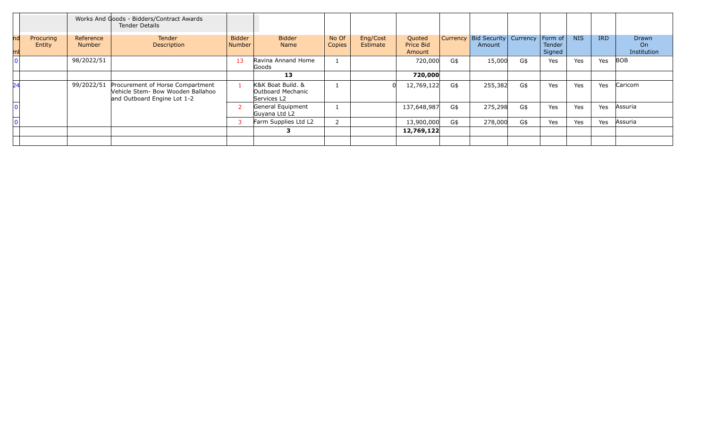|                     |                            | Works And Goods - Bidders/Contract Awards<br>Tender Details                                          |                         |                                                       |                 |                             |                               |          |                                        |     |                                    |            |            |                            |
|---------------------|----------------------------|------------------------------------------------------------------------------------------------------|-------------------------|-------------------------------------------------------|-----------------|-----------------------------|-------------------------------|----------|----------------------------------------|-----|------------------------------------|------------|------------|----------------------------|
| Procuring<br>Entity | Reference<br><b>Number</b> | Tender<br>Description                                                                                | <b>Bidder</b><br>Number | <b>Bidder</b><br><b>Name</b>                          | No Of<br>Copies | Eng/Cost<br><b>Estimate</b> | Quoted<br>Price Bid<br>Amount | Currency | <b>Bid Security Currency</b><br>Amount |     | Form of<br><b>Tender</b><br>Signed | <b>NIS</b> | <b>IRD</b> | Drawn<br>On<br>Institution |
|                     | 98/2022/51                 |                                                                                                      | 13                      | Ravina Annand Home<br>Goods                           |                 |                             | 720,000                       | G\$      | 15,000                                 | G\$ | Yes                                | Yes        | Yes        | BOB                        |
|                     |                            |                                                                                                      |                         | 13                                                    |                 |                             | 720,000                       |          |                                        |     |                                    |            |            |                            |
|                     | 99/2022/51                 | Procurement of Horse Compartment<br>Vehicle Stem- Bow Wooden Ballahoo<br>and Outboard Engine Lot 1-2 |                         | K&K Boat Build, &<br>Outboard Mechanic<br>Services L2 |                 |                             | 12,769,122                    | G\$      | 255,382                                | G\$ | Yes                                | Yes        | Yes        | Caricom                    |
|                     |                            |                                                                                                      |                         | General Equipment<br>Guyana Ltd L2                    |                 |                             | 137,648,987                   | G\$      | 275,298                                | G\$ | Yes                                | Yes        | Yes        | Assuria                    |
|                     |                            |                                                                                                      |                         | Farm Supplies Ltd L2                                  |                 |                             | 13,900,000                    | G\$      | 278,000                                | G\$ | Yes                                | Yes        | Yes        | Assuria                    |
|                     |                            |                                                                                                      |                         |                                                       |                 |                             | 12,769,122                    |          |                                        |     |                                    |            |            |                            |
|                     |                            |                                                                                                      |                         |                                                       |                 |                             |                               |          |                                        |     |                                    |            |            |                            |